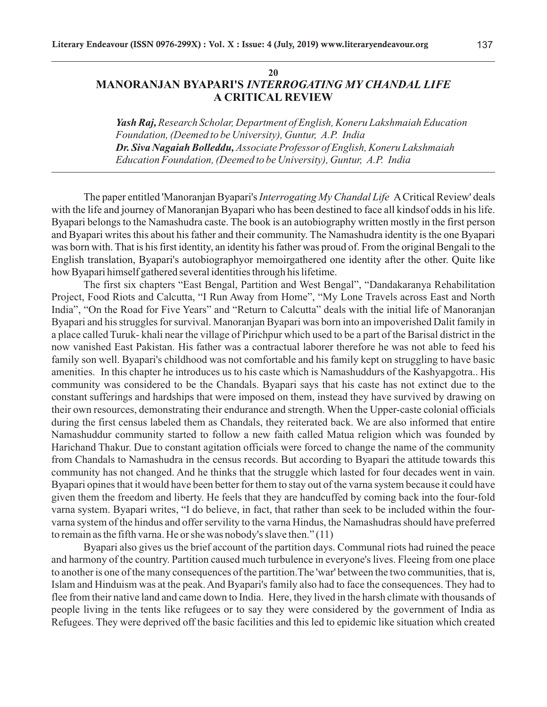**20**

## **MANORANJAN BYAPARI'S** *INTERROGATING MY CHANDAL LIFE* **A CRITICAL REVIEW**

*Yash Raj, Research Scholar, Department of English, Koneru Lakshmaiah Education Foundation, (Deemed to be University), Guntur, A.P. India Dr. Siva Nagaiah Bolleddu, Associate Professor of English, Koneru Lakshmaiah Education Foundation, (Deemed to be University), Guntur, A.P. India*

The paper entitled 'Manoranjan Byapari's *Interrogating My Chandal Life* ACritical Review' deals with the life and journey of Manoranjan Byapari who has been destined to face all kindsof odds in his life. Byapari belongs to the Namashudra caste. The book is an autobiography written mostly in the first person and Byapari writes this about his father and their community. The Namashudra identity is the one Byapari was born with. That is his first identity, an identity his father was proud of. From the original Bengali to the English translation, Byapari's autobiographyor memoirgathered one identity after the other. Quite like how Byapari himself gathered several identities through his lifetime.

The first six chapters "East Bengal, Partition and West Bengal", "Dandakaranya Rehabilitation Project, Food Riots and Calcutta, "I Run Away from Home", "My Lone Travels across East and North India", "On the Road for Five Years" and "Return to Calcutta" deals with the initial life of Manoranjan Byapari and his struggles for survival. Manoranjan Byapari was born into an impoverished Dalit family in a place called Turuk- khali near the village of Pirichpur which used to be a part of the Barisal district in the now vanished East Pakistan. His father was a contractual laborer therefore he was not able to feed his family son well. Byapari's childhood was not comfortable and his family kept on struggling to have basic amenities. In this chapter he introduces us to his caste which is Namashuddurs of the Kashyapgotra.. His community was considered to be the Chandals. Byapari says that his caste has not extinct due to the constant sufferings and hardships that were imposed on them, instead they have survived by drawing on their own resources, demonstrating their endurance and strength. When the Upper-caste colonial officials during the first census labeled them as Chandals, they reiterated back. We are also informed that entire Namashuddur community started to follow a new faith called Matua religion which was founded by Harichand Thakur. Due to constant agitation officials were forced to change the name of the community from Chandals to Namashudra in the census records. But according to Byapari the attitude towards this community has not changed. And he thinks that the struggle which lasted for four decades went in vain. Byapari opines that it would have been better for them to stay out of the varna system because it could have given them the freedom and liberty. He feels that they are handcuffed by coming back into the four-fold varna system. Byapari writes, "I do believe, in fact, that rather than seek to be included within the fourvarna system of the hindus and offer servility to the varna Hindus, the Namashudras should have preferred to remain as the fifth varna. He or she was nobody's slave then." (11)

Byapari also gives us the brief account of the partition days. Communal riots had ruined the peace and harmony of the country. Partition caused much turbulence in everyone's lives. Fleeing from one place to another is one of the many consequences of the partition.The 'war' between the two communities, that is, Islam and Hinduism was at the peak. And Byapari's family also had to face the consequences. They had to flee from their native land and came down to India. Here, they lived in the harsh climate with thousands of people living in the tents like refugees or to say they were considered by the government of India as Refugees. They were deprived off the basic facilities and this led to epidemic like situation which created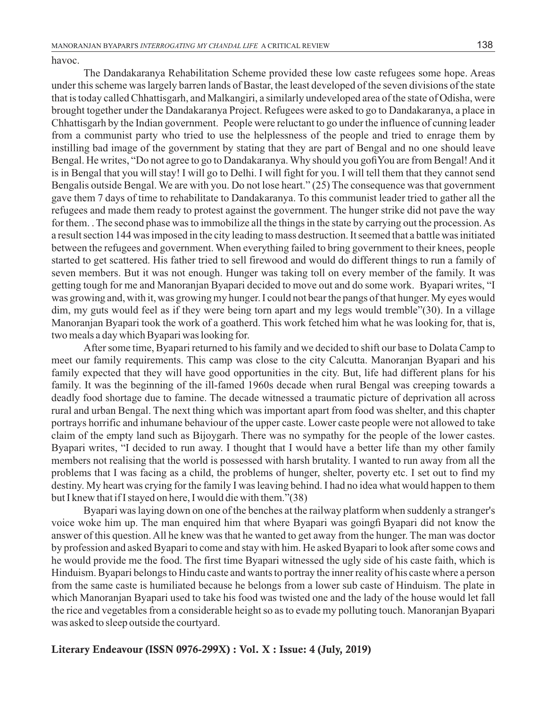havoc.

The Dandakaranya Rehabilitation Scheme provided these low caste refugees some hope. Areas under this scheme was largely barren lands of Bastar, the least developed of the seven divisions of the state that is today called Chhattisgarh, and Malkangiri, a similarly undeveloped area of the state of Odisha, were brought together under the Dandakaranya Project. Refugees were asked to go to Dandakaranya, a place in Chhattisgarh by the Indian government. People were reluctant to go under the influence of cunning leader from a communist party who tried to use the helplessness of the people and tried to enrage them by instilling bad image of the government by stating that they are part of Bengal and no one should leave Bengal. He writes, "Do not agree to go to Dandakaranya. Why should you gofi You are from Bengal! And it is in Bengal that you will stay! I will go to Delhi. I will fight for you. I will tell them that they cannot send Bengalis outside Bengal. We are with you. Do not lose heart." (25) The consequence was that government gave them 7 days of time to rehabilitate to Dandakaranya. To this communist leader tried to gather all the refugees and made them ready to protest against the government. The hunger strike did not pave the way for them. . The second phase was to immobilize all the things in the state by carrying out the procession. As a result section 144 was imposed in the city leading to mass destruction. It seemed that a battle was initiated between the refugees and government. When everything failed to bring government to their knees, people started to get scattered. His father tried to sell firewood and would do different things to run a family of seven members. But it was not enough. Hunger was taking toll on every member of the family. It was getting tough for me and Manoranjan Byapari decided to move out and do some work. Byapari writes, "I was growing and, with it, was growing my hunger. I could not bear the pangs of that hunger. My eyes would dim, my guts would feel as if they were being torn apart and my legs would tremble"(30). In a village Manoranjan Byapari took the work of a goatherd. This work fetched him what he was looking for, that is, two meals a day which Byapari was looking for.

After some time, Byapari returned to his family and we decided to shift our base to Dolata Camp to meet our family requirements. This camp was close to the city Calcutta. Manoranjan Byapari and his family expected that they will have good opportunities in the city. But, life had different plans for his family. It was the beginning of the ill-famed 1960s decade when rural Bengal was creeping towards a deadly food shortage due to famine. The decade witnessed a traumatic picture of deprivation all across rural and urban Bengal. The next thing which was important apart from food was shelter, and this chapter portrays horrific and inhumane behaviour of the upper caste. Lower caste people were not allowed to take claim of the empty land such as Bijoygarh. There was no sympathy for the people of the lower castes. Byapari writes, "I decided to run away. I thought that I would have a better life than my other family members not realising that the world is possessed with harsh brutality. I wanted to run away from all the problems that I was facing as a child, the problems of hunger, shelter, poverty etc. I set out to find my destiny. My heart was crying for the family I was leaving behind. I had no idea what would happen to them but I knew that if I stayed on here, I would die with them."(38)

Byapari was laying down on one of the benches at the railway platform when suddenly a stranger's voice woke him up. The man enquired him that where Byapari was going fi Byapari did not know the answer of this question. All he knew was that he wanted to get away from the hunger. The man was doctor by profession and asked Byapari to come and stay with him. He asked Byapari to look after some cows and he would provide me the food. The first time Byapari witnessed the ugly side of his caste faith, which is Hinduism. Byapari belongs to Hindu caste and wants to portray the inner reality of his caste where a person from the same caste is humiliated because he belongs from a lower sub caste of Hinduism. The plate in which Manoranjan Byapari used to take his food was twisted one and the lady of the house would let fall the rice and vegetables from a considerable height so as to evade my polluting touch. Manoranjan Byapari was asked to sleep outside the courtyard.

## **Literary Endeavour (ISSN 0976-299X) : Vol. X : Issue: 4 (July, 2019)**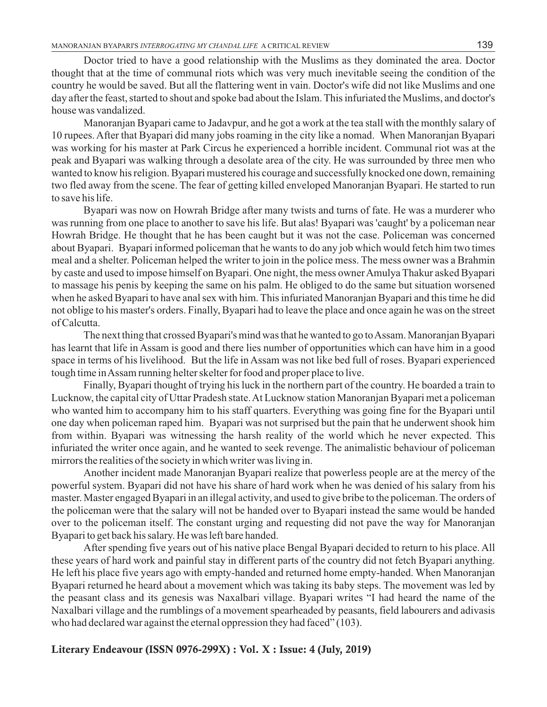Doctor tried to have a good relationship with the Muslims as they dominated the area. Doctor thought that at the time of communal riots which was very much inevitable seeing the condition of the country he would be saved. But all the flattering went in vain. Doctor's wife did not like Muslims and one day after the feast, started to shout and spoke bad about the Islam. This infuriated the Muslims, and doctor's house was vandalized.

Manoranjan Byapari came to Jadavpur, and he got a work at the tea stall with the monthly salary of 10 rupees. After that Byapari did many jobs roaming in the city like a nomad. When Manoranjan Byapari was working for his master at Park Circus he experienced a horrible incident. Communal riot was at the peak and Byapari was walking through a desolate area of the city. He was surrounded by three men who wanted to know his religion. Byapari mustered his courage and successfully knocked one down, remaining two fled away from the scene. The fear of getting killed enveloped Manoranjan Byapari. He started to run to save his life.

Byapari was now on Howrah Bridge after many twists and turns of fate. He was a murderer who was running from one place to another to save his life. But alas! Byapari was 'caught' by a policeman near Howrah Bridge. He thought that he has been caught but it was not the case. Policeman was concerned about Byapari. Byapari informed policeman that he wants to do any job which would fetch him two times meal and a shelter. Policeman helped the writer to join in the police mess. The mess owner was a Brahmin by caste and used to impose himself on Byapari. One night, the mess owner Amulya Thakur asked Byapari to massage his penis by keeping the same on his palm. He obliged to do the same but situation worsened when he asked Byapari to have anal sex with him. This infuriated Manoranjan Byapari and this time he did not oblige to his master's orders. Finally, Byapari had to leave the place and once again he was on the street of Calcutta.

The next thing that crossed Byapari's mind was that he wanted to go to Assam. Manoranjan Byapari has learnt that life in Assam is good and there lies number of opportunities which can have him in a good space in terms of his livelihood. But the life in Assam was not like bed full of roses. Byapari experienced tough time in Assam running helter skelter for food and proper place to live.

Finally, Byapari thought of trying his luck in the northern part of the country. He boarded a train to Lucknow, the capital city of Uttar Pradesh state. At Lucknow station Manoranjan Byapari met a policeman who wanted him to accompany him to his staff quarters. Everything was going fine for the Byapari until one day when policeman raped him. Byapari was not surprised but the pain that he underwent shook him from within. Byapari was witnessing the harsh reality of the world which he never expected. This infuriated the writer once again, and he wanted to seek revenge. The animalistic behaviour of policeman mirrors the realities of the society in which writer was living in.

Another incident made Manoranjan Byapari realize that powerless people are at the mercy of the powerful system. Byapari did not have his share of hard work when he was denied of his salary from his master. Master engaged Byapari in an illegal activity, and used to give bribe to the policeman. The orders of the policeman were that the salary will not be handed over to Byapari instead the same would be handed over to the policeman itself. The constant urging and requesting did not pave the way for Manoranjan Byapari to get back his salary. He was left bare handed.

After spending five years out of his native place Bengal Byapari decided to return to his place. All these years of hard work and painful stay in different parts of the country did not fetch Byapari anything. He left his place five years ago with empty-handed and returned home empty-handed. When Manoranjan Byapari returned he heard about a movement which was taking its baby steps. The movement was led by the peasant class and its genesis was Naxalbari village. Byapari writes "I had heard the name of the Naxalbari village and the rumblings of a movement spearheaded by peasants, field labourers and adivasis who had declared war against the eternal oppression they had faced" (103).

## **Literary Endeavour (ISSN 0976-299X) : Vol. X : Issue: 4 (July, 2019)**